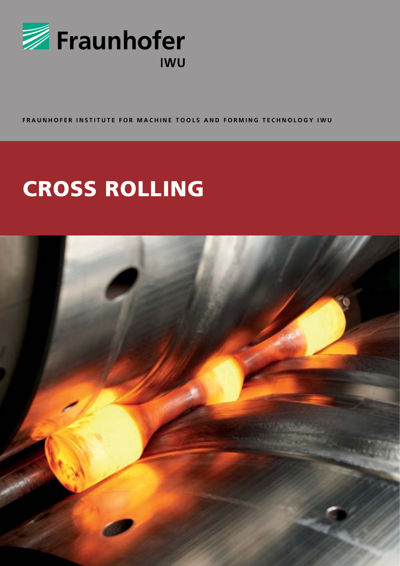

FRAUNHOFER INSTITUTE FOR MACHINE TOOLS AND FORMING TECHNOLOGY IWU

# **CROSS ROLLING**

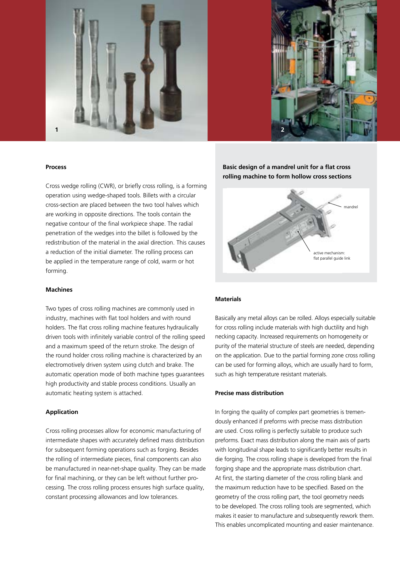



#### **Process**

Cross wedge rolling (CWR), or briefly cross rolling, is a forming operation using wedge-shaped tools. Billets with a circular cross-section are placed between the two tool halves which are working in opposite directions. The tools contain the negative contour of the final workpiece shape. The radial penetration of the wedges into the billet is followed by the redistribution of the material in the axial direction. This causes a reduction of the initial diameter. The rolling process can be applied in the temperature range of cold, warm or hot forming.

#### **Machines**

Two types of cross rolling machines are commonly used in industry, machines with flat tool holders and with round holders. The flat cross rolling machine features hydraulically driven tools with infinitely variable control of the rolling speed and a maximum speed of the return stroke. The design of the round holder cross rolling machine is characterized by an electromotively driven system using clutch and brake. The automatic operation mode of both machine types guarantees high productivity and stable process conditions. Usually an automatic heating system is attached.

#### **Application**

Cross rolling processes allow for economic manufacturing of intermediate shapes with accurately defined mass distribution for subsequent forming operations such as forging. Besides the rolling of intermediate pieces, final components can also be manufactured in near-net-shape quality. They can be made for final machining, or they can be left without further processing. The cross rolling process ensures high surface quality, constant processing allowances and low tolerances.

# **Basic design of a mandrel unit for a flat cross rolling machine to form hollow cross sections**



#### **Materials**

Basically any metal alloys can be rolled. Alloys especially suitable for cross rolling include materials with high ductility and high necking capacity. Increased requirements on homogeneity or purity of the material structure of steels are needed, depending on the application. Due to the partial forming zone cross rolling can be used for forming alloys, which are usually hard to form, such as high temperature resistant materials.

#### **Precise mass distribution**

In forging the quality of complex part geometries is tremendously enhanced if preforms with precise mass distribution are used. Cross rolling is perfectly suitable to produce such preforms. Exact mass distribution along the main axis of parts with longitudinal shape leads to significantly better results in die forging. The cross rolling shape is developed from the final forging shape and the appropriate mass distribution chart. At first, the starting diameter of the cross rolling blank and the maximum reduction have to be specified. Based on the geometry of the cross rolling part, the tool geometry needs to be developed. The cross rolling tools are segmented, which makes it easier to manufacture and subsequently rework them. This enables uncomplicated mounting and easier maintenance.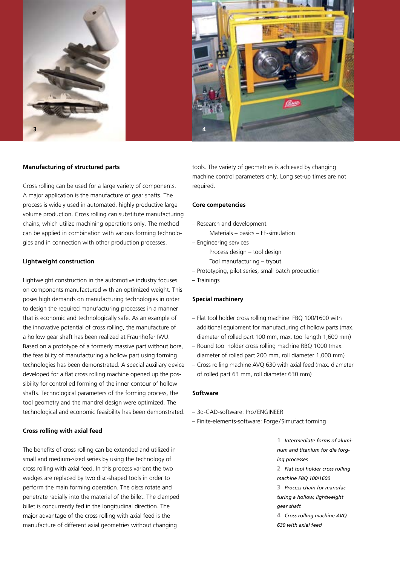

#### **Manufacturing of structured parts**

Cross rolling can be used for a large variety of components. A major application is the manufacture of gear shafts. The process is widely used in automated, highly productive large volume production. Cross rolling can substitute manufacturing chains, which utilize machining operations only. The method can be applied in combination with various forming technologies and in connection with other production processes.

#### **Lightweight construction**

Lightweight construction in the automotive industry focuses on components manufactured with an optimized weight. This poses high demands on manufacturing technologies in order to design the required manufacturing processes in a manner that is economic and technologically safe. As an example of the innovative potential of cross rolling, the manufacture of a hollow gear shaft has been realized at Fraunhofer IWU. Based on a prototype of a formerly massive part without bore, the feasibility of manufacturing a hollow part using forming technologies has been demonstrated. A special auxiliary device developed for a flat cross rolling machine opened up the possibility for controlled forming of the inner contour of hollow shafts. Technological parameters of the forming process, the tool geometry and the mandrel design were optimized. The technological and economic feasibility has been demonstrated.

#### **Cross rolling with axial feed**

The benefits of cross rolling can be extended and utilized in small and medium-sized series by using the technology of cross rolling with axial feed. In this process variant the two wedges are replaced by two disc-shaped tools in order to perform the main forming operation. The discs rotate and penetrate radially into the material of the billet. The clamped billet is concurrently fed in the longitudinal direction. The major advantage of the cross rolling with axial feed is the manufacture of different axial geometries without changing

tools. The variety of geometries is achieved by changing machine control parameters only. Long set-up times are not required.

#### **Core competencies**

- Research and development
- Materials basics FE-simulation
- Engineering services Process design – tool design Tool manufacturing – tryout
- Prototyping, pilot series, small batch production
- Trainings

#### **Special machinery**

- Flat tool holder cross rolling machine FBQ 100/1600 with additional equipment for manufacturing of hollow parts (max. diameter of rolled part 100 mm, max. tool length 1,600 mm)
- Round tool holder cross rolling machine RBQ 1000 (max. diameter of rolled part 200 mm, roll diameter 1,000 mm)
- Cross rolling machine AVQ 630 with axial feed (max. diameter of rolled part 63 mm, roll diameter 630 mm)

## **Software**

- 3d-CAD-software: Pro/ENGINEER
- Finite-elements-software: Forge /Simufact forming

**1** *Intermediate forms of aluminum and titanium for die forging processes* **2** *Flat tool holder cross rolling machine FBQ 100/1600* **3** *Process chain for manufacturing a hollow, lightweight gear shaft* **4** *Cross rolling machine AVQ* 

*630 with axial feed*